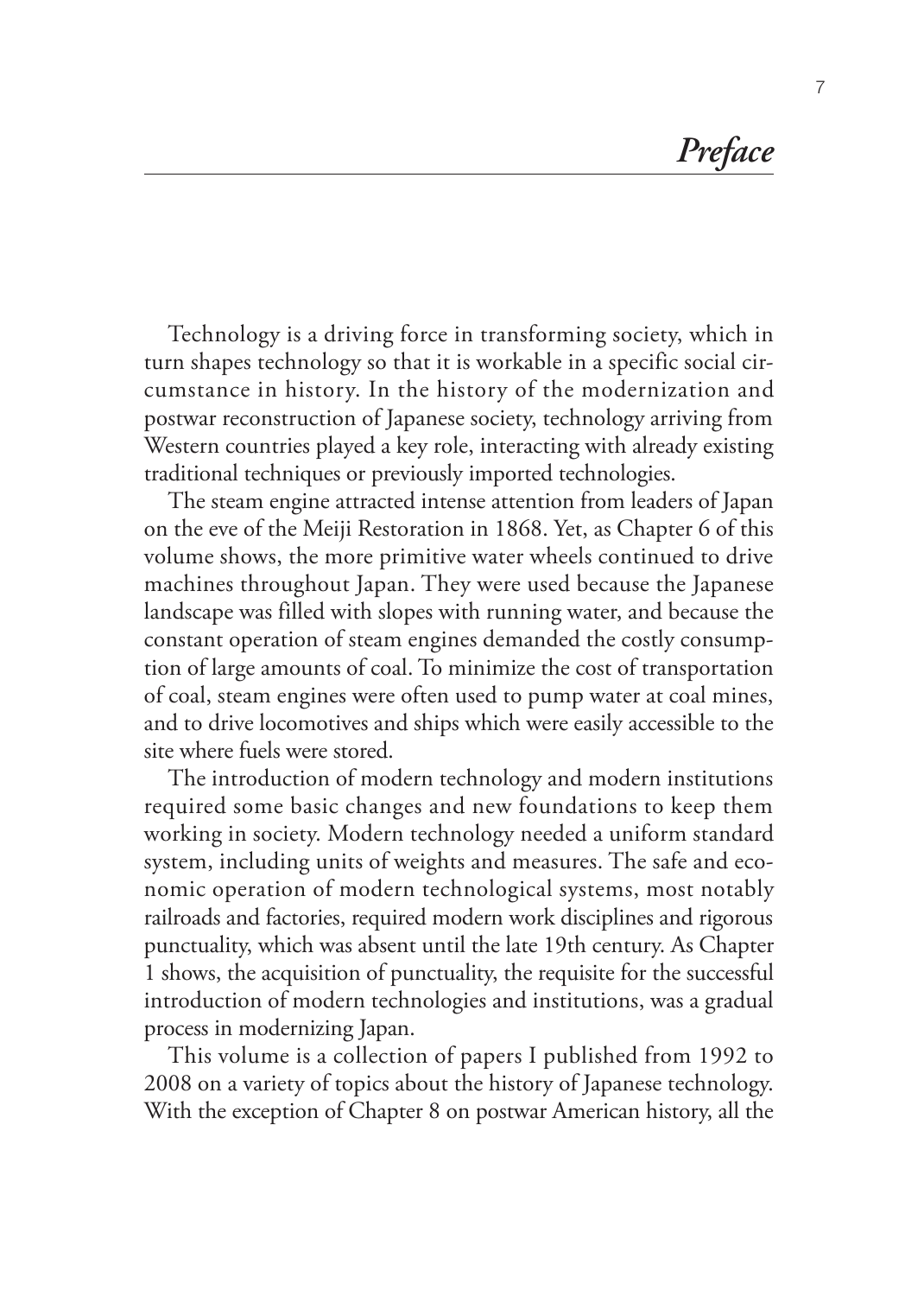*Preface*

Technology is a driving force in transforming society, which in turn shapes technology so that it is workable in a specific social circumstance in history. In the history of the modernization and postwar reconstruction of Japanese society, technology arriving from Western countries played a key role, interacting with already existing traditional techniques or previously imported technologies.

The steam engine attracted intense attention from leaders of Japan on the eve of the Meiji Restoration in 1868. Yet, as Chapter 6 of this volume shows, the more primitive water wheels continued to drive machines throughout Japan. They were used because the Japanese landscape was filled with slopes with running water, and because the constant operation of steam engines demanded the costly consumption of large amounts of coal. To minimize the cost of transportation of coal, steam engines were often used to pump water at coal mines, and to drive locomotives and ships which were easily accessible to the site where fuels were stored.

The introduction of modern technology and modern institutions required some basic changes and new foundations to keep them working in society. Modern technology needed a uniform standard system, including units of weights and measures. The safe and economic operation of modern technological systems, most notably railroads and factories, required modern work disciplines and rigorous punctuality, which was absent until the late 19th century. As Chapter 1 shows, the acquisition of punctuality, the requisite for the successful introduction of modern technologies and institutions, was a gradual process in modernizing Japan.

This volume is a collection of papers I published from 1992 to 2008 on a variety of topics about the history of Japanese technology. With the exception of Chapter 8 on postwar American history, all the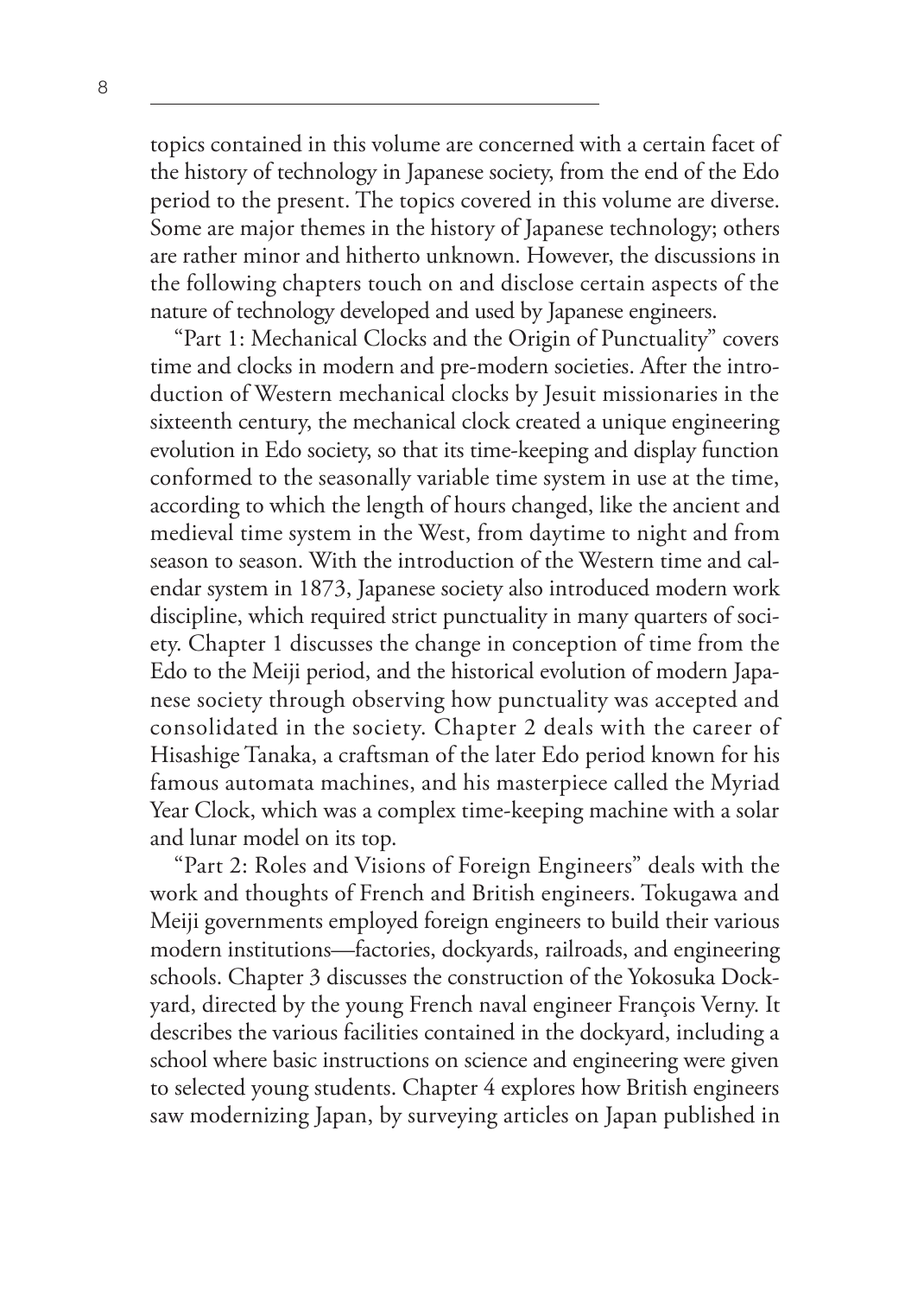topics contained in this volume are concerned with a certain facet of the history of technology in Japanese society, from the end of the Edo period to the present. The topics covered in this volume are diverse. Some are major themes in the history of Japanese technology; others are rather minor and hitherto unknown. However, the discussions in the following chapters touch on and disclose certain aspects of the nature of technology developed and used by Japanese engineers.

"Part 1: Mechanical Clocks and the Origin of Punctuality" covers time and clocks in modern and pre-modern societies. After the introduction of Western mechanical clocks by Jesuit missionaries in the sixteenth century, the mechanical clock created a unique engineering evolution in Edo society, so that its time-keeping and display function conformed to the seasonally variable time system in use at the time, according to which the length of hours changed, like the ancient and medieval time system in the West, from daytime to night and from season to season. With the introduction of the Western time and calendar system in 1873, Japanese society also introduced modern work discipline, which required strict punctuality in many quarters of society. Chapter 1 discusses the change in conception of time from the Edo to the Meiji period, and the historical evolution of modern Japanese society through observing how punctuality was accepted and consolidated in the society. Chapter 2 deals with the career of Hisashige Tanaka, a craftsman of the later Edo period known for his famous automata machines, and his masterpiece called the Myriad Year Clock, which was a complex time-keeping machine with a solar and lunar model on its top.

"Part 2: Roles and Visions of Foreign Engineers" deals with the work and thoughts of French and British engineers. Tokugawa and Meiji governments employed foreign engineers to build their various modern institutions—factories, dockyards, railroads, and engineering schools. Chapter 3 discusses the construction of the Yokosuka Dockyard, directed by the young French naval engineer François Verny. It describes the various facilities contained in the dockyard, including a school where basic instructions on science and engineering were given to selected young students. Chapter 4 explores how British engineers saw modernizing Japan, by surveying articles on Japan published in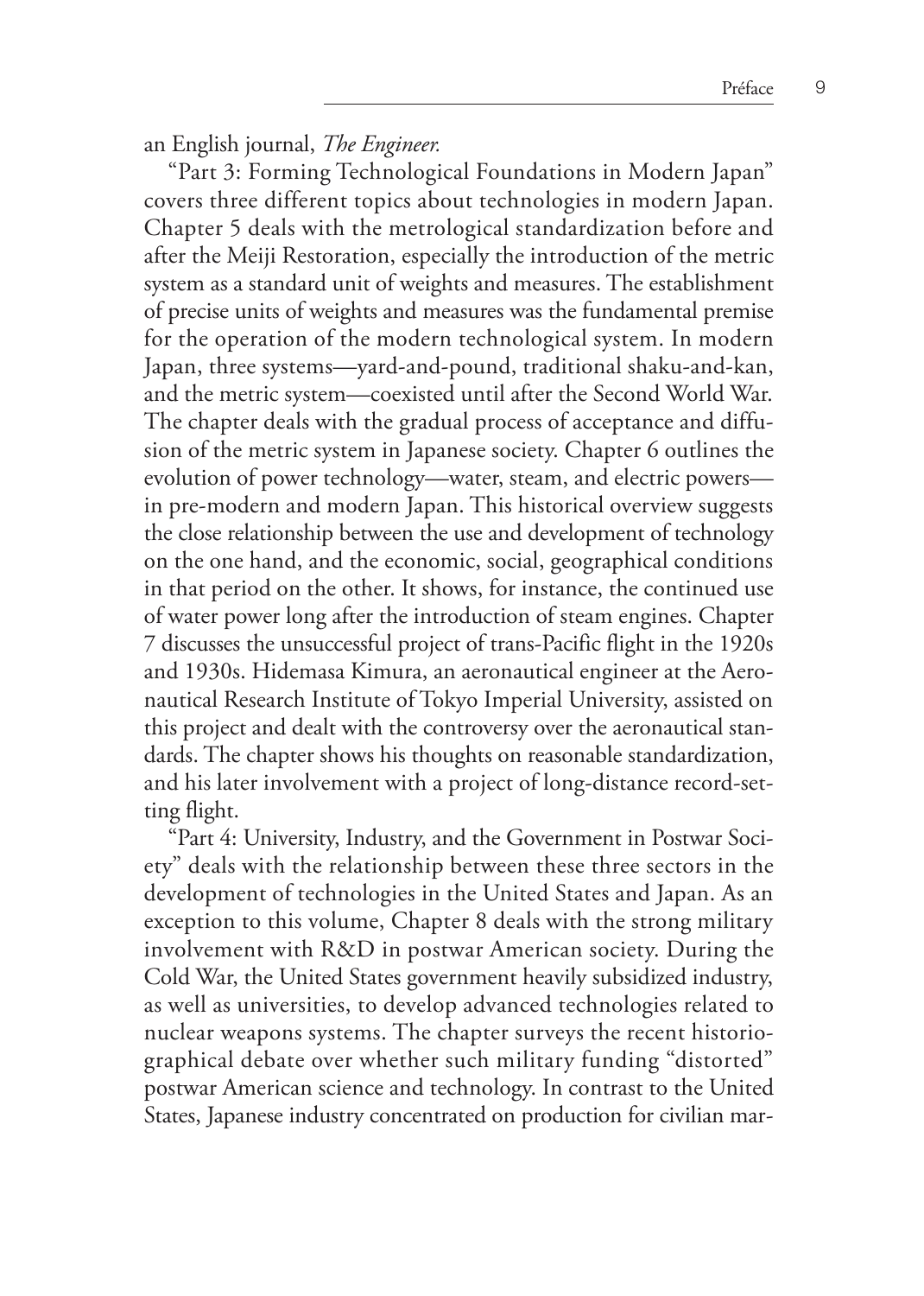an English journal, *The Engineer.*

"Part 3: Forming Technological Foundations in Modern Japan" covers three different topics about technologies in modern Japan. Chapter 5 deals with the metrological standardization before and after the Meiji Restoration, especially the introduction of the metric system as a standard unit of weights and measures. The establishment of precise units of weights and measures was the fundamental premise for the operation of the modern technological system. In modern Japan, three systems—yard-and-pound, traditional shaku-and-kan, and the metric system—coexisted until after the Second World War. The chapter deals with the gradual process of acceptance and diffusion of the metric system in Japanese society. Chapter 6 outlines the evolution of power technology—water, steam, and electric powers in pre-modern and modern Japan. This historical overview suggests the close relationship between the use and development of technology on the one hand, and the economic, social, geographical conditions in that period on the other. It shows, for instance, the continued use of water power long after the introduction of steam engines. Chapter 7 discusses the unsuccessful project of trans-Pacific flight in the 1920s and 1930s. Hidemasa Kimura, an aeronautical engineer at the Aeronautical Research Institute of Tokyo Imperial University, assisted on this project and dealt with the controversy over the aeronautical standards. The chapter shows his thoughts on reasonable standardization, and his later involvement with a project of long-distance record-setting flight.

"Part 4: University, Industry, and the Government in Postwar Society" deals with the relationship between these three sectors in the development of technologies in the United States and Japan. As an exception to this volume, Chapter 8 deals with the strong military involvement with R&D in postwar American society. During the Cold War, the United States government heavily subsidized industry, as well as universities, to develop advanced technologies related to nuclear weapons systems. The chapter surveys the recent historiographical debate over whether such military funding "distorted" postwar American science and technology. In contrast to the United States, Japanese industry concentrated on production for civilian mar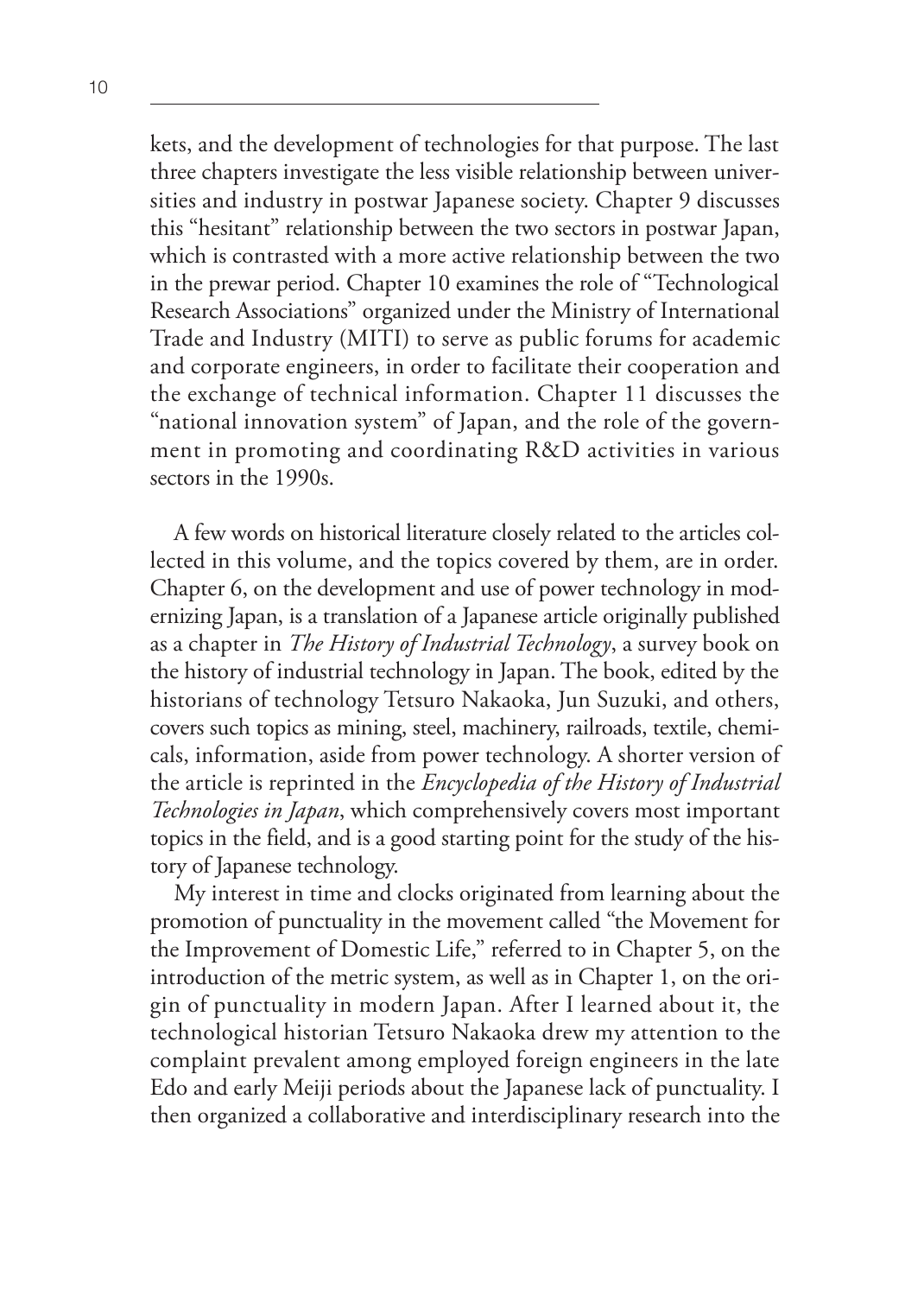kets, and the development of technologies for that purpose. The last three chapters investigate the less visible relationship between universities and industry in postwar Japanese society. Chapter 9 discusses this "hesitant" relationship between the two sectors in postwar Japan, which is contrasted with a more active relationship between the two in the prewar period. Chapter 10 examines the role of "Technological Research Associations" organized under the Ministry of International Trade and Industry (MITI) to serve as public forums for academic and corporate engineers, in order to facilitate their cooperation and the exchange of technical information. Chapter 11 discusses the "national innovation system" of Japan, and the role of the government in promoting and coordinating R&D activities in various sectors in the 1990s.

A few words on historical literature closely related to the articles collected in this volume, and the topics covered by them, are in order. Chapter 6, on the development and use of power technology in modernizing Japan, is a translation of a Japanese article originally published as a chapter in *The History of Industrial Technology*, a survey book on the history of industrial technology in Japan. The book, edited by the historians of technology Tetsuro Nakaoka, Jun Suzuki, and others, covers such topics as mining, steel, machinery, railroads, textile, chemicals, information, aside from power technology. A shorter version of the article is reprinted in the *Encyclopedia of the History of Industrial Technologies in Japan*, which comprehensively covers most important topics in the field, and is a good starting point for the study of the history of Japanese technology.

My interest in time and clocks originated from learning about the promotion of punctuality in the movement called "the Movement for the Improvement of Domestic Life," referred to in Chapter 5, on the introduction of the metric system, as well as in Chapter 1, on the origin of punctuality in modern Japan. After I learned about it, the technological historian Tetsuro Nakaoka drew my attention to the complaint prevalent among employed foreign engineers in the late Edo and early Meiji periods about the Japanese lack of punctuality. I then organized a collaborative and interdisciplinary research into the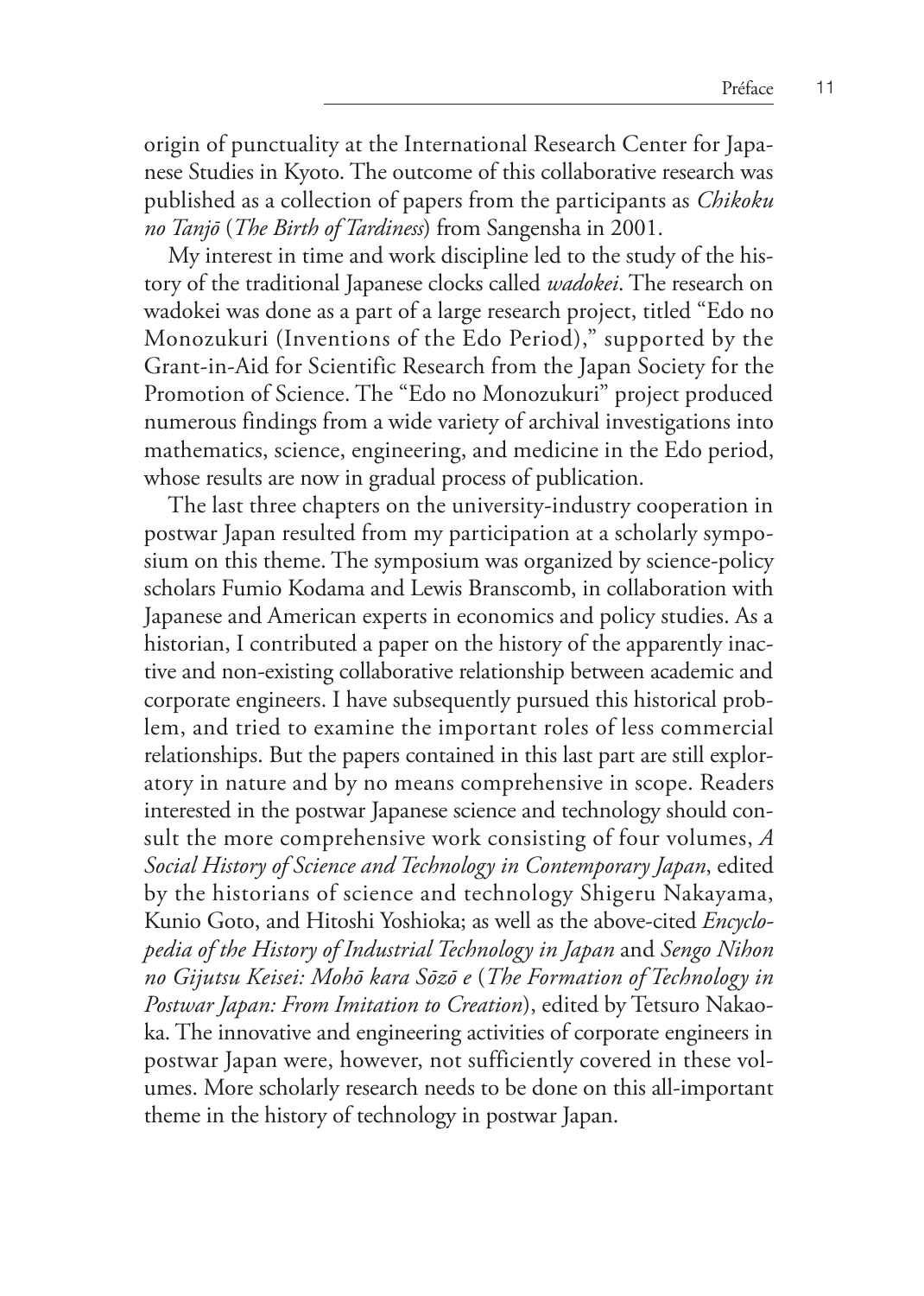origin of punctuality at the International Research Center for Japanese Studies in Kyoto. The outcome of this collaborative research was published as a collection of papers from the participants as *Chikoku no Tanjō* (*The Birth of Tardiness*) from Sangensha in 2001.

My interest in time and work discipline led to the study of the history of the traditional Japanese clocks called *wadokei*. The research on wadokei was done as a part of a large research project, titled "Edo no Monozukuri (Inventions of the Edo Period)," supported by the Grant-in-Aid for Scientific Research from the Japan Society for the Promotion of Science. The "Edo no Monozukuri" project produced numerous findings from a wide variety of archival investigations into mathematics, science, engineering, and medicine in the Edo period, whose results are now in gradual process of publication.

The last three chapters on the university-industry cooperation in postwar Japan resulted from my participation at a scholarly symposium on this theme. The symposium was organized by science-policy scholars Fumio Kodama and Lewis Branscomb, in collaboration with Japanese and American experts in economics and policy studies. As a historian, I contributed a paper on the history of the apparently inactive and non-existing collaborative relationship between academic and corporate engineers. I have subsequently pursued this historical problem, and tried to examine the important roles of less commercial relationships. But the papers contained in this last part are still exploratory in nature and by no means comprehensive in scope. Readers interested in the postwar Japanese science and technology should consult the more comprehensive work consisting of four volumes, *A Social History of Science and Technology in Contemporary Japan*, edited by the historians of science and technology Shigeru Nakayama, Kunio Goto, and Hitoshi Yoshioka; as well as the above-cited *Encyclopedia of the History of Industrial Technology in Japan* and *Sengo Nihon no Gijutsu Keisei: Mohō kara Sōzō e* (*The Formation of Technology in Postwar Japan: From Imitation to Creation*), edited by Tetsuro Nakaoka. The innovative and engineering activities of corporate engineers in postwar Japan were, however, not sufficiently covered in these volumes. More scholarly research needs to be done on this all-important theme in the history of technology in postwar Japan.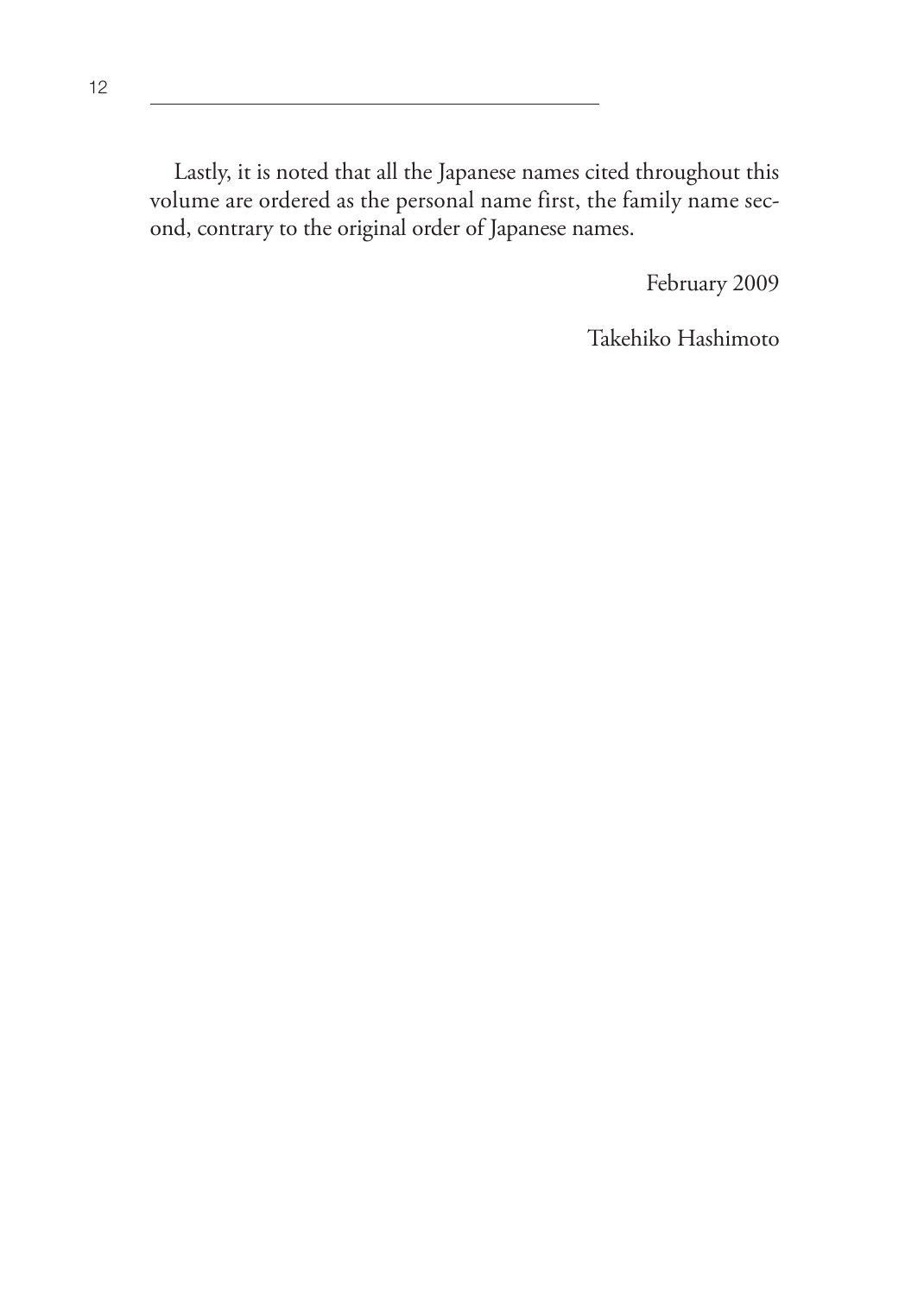Lastly, it is noted that all the Japanese names cited throughout this volume are ordered as the personal name first, the family name second, contrary to the original order of Japanese names.

February 2009

Takehiko Hashimoto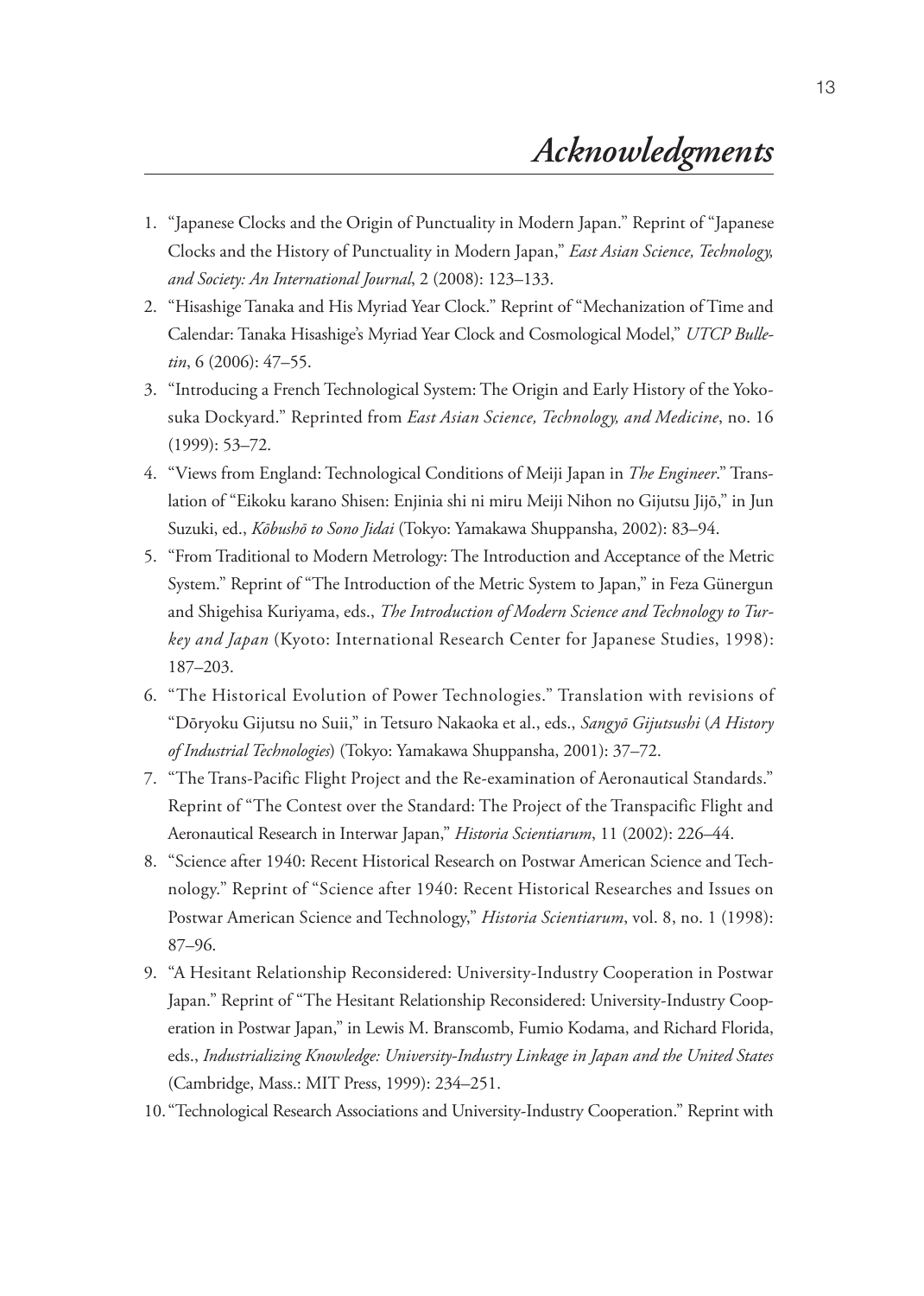- 1. "Japanese Clocks and the Origin of Punctuality in Modern Japan." Reprint of "Japanese Clocks and the History of Punctuality in Modern Japan," *East Asian Science, Technology, and Society: An International Journal*, 2 (2008): 123–133.
- 2. "Hisashige Tanaka and His Myriad Year Clock." Reprint of "Mechanization of Time and Calendar: Tanaka Hisashige's Myriad Year Clock and Cosmological Model," *UTCP Bulletin*, 6 (2006): 47–55.
- 3. "Introducing a French Technological System: The Origin and Early History of the Yokosuka Dockyard." Reprinted from *East Asian Science, Technology, and Medicine*, no. 16 (1999): 53–72.
- 4. "Views from England: Technological Conditions of Meiji Japan in *The Engineer*." Translation of "Eikoku karano Shisen: Enjinia shi ni miru Meiji Nihon no Gijutsu Jijō," in Jun Suzuki, ed., *Kōbushō to Sono Jidai* (Tokyo: Yamakawa Shuppansha, 2002): 83–94.
- 5. "From Traditional to Modern Metrology: The Introduction and Acceptance of the Metric System." Reprint of "The Introduction of the Metric System to Japan," in Feza Günergun and Shigehisa Kuriyama, eds., *The Introduction of Modern Science and Technology to Turkey and Japan* (Kyoto: International Research Center for Japanese Studies, 1998): 187–203.
- 6. "The Historical Evolution of Power Technologies." Translation with revisions of "Dōryoku Gijutsu no Suii," in Tetsuro Nakaoka et al., eds., *Sangyō Gijutsushi* (*A History of Industrial Technologies*) (Tokyo: Yamakawa Shuppansha, 2001): 37–72.
- 7. "The Trans-Pacific Flight Project and the Re-examination of Aeronautical Standards." Reprint of "The Contest over the Standard: The Project of the Transpacific Flight and Aeronautical Research in Interwar Japan," *Historia Scientiarum*, 11 (2002): 226–44.
- 8. "Science after 1940: Recent Historical Research on Postwar American Science and Technology." Reprint of "Science after 1940: Recent Historical Researches and Issues on Postwar American Science and Technology," *Historia Scientiarum*, vol. 8, no. 1 (1998): 87–96.
- 9. "A Hesitant Relationship Reconsidered: University-Industry Cooperation in Postwar Japan." Reprint of "The Hesitant Relationship Reconsidered: University-Industry Cooperation in Postwar Japan," in Lewis M. Branscomb, Fumio Kodama, and Richard Florida, eds., *Industrializing Knowledge: University-Industry Linkage in Japan and the United States* (Cambridge, Mass.: MIT Press, 1999): 234–251.
- 10. "Technological Research Associations and University-Industry Cooperation." Reprint with